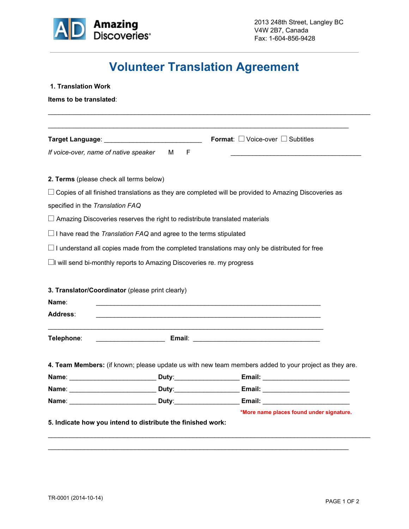

## **Volunteer Translation Agreement**

| Items to be translated:                          |                                                                              |                                                                                                                      |
|--------------------------------------------------|------------------------------------------------------------------------------|----------------------------------------------------------------------------------------------------------------------|
|                                                  |                                                                              | <u> 1990 - Johann John Stone, mars and de la provincia de la provincia de la provincia de la provincia de la pro</u> |
|                                                  |                                                                              | <b>Format:</b> $\Box$ Voice-over $\Box$ Subtitles                                                                    |
| If voice-over, name of native speaker            | M F                                                                          |                                                                                                                      |
| 2. Terms (please check all terms below)          |                                                                              |                                                                                                                      |
|                                                  |                                                                              | $\Box$ Copies of all finished translations as they are completed will be provided to Amazing Discoveries as          |
| specified in the Translation FAQ                 |                                                                              |                                                                                                                      |
|                                                  |                                                                              | $\Box$ Amazing Discoveries reserves the right to redistribute translated materials                                   |
|                                                  | $\Box$ I have read the Translation FAQ and agree to the terms stipulated     |                                                                                                                      |
|                                                  |                                                                              | $\Box$ I understand all copies made from the completed translations may only be distributed for free                 |
|                                                  | $\Box$ I will send bi-monthly reports to Amazing Discoveries re. my progress |                                                                                                                      |
|                                                  |                                                                              |                                                                                                                      |
| 3. Translator/Coordinator (please print clearly) |                                                                              |                                                                                                                      |
|                                                  |                                                                              | <u> 1989 - Johann Barbara, margaret amerikan basar dan berasal dalam basa dalam basa dalam basa dalam basa dalam</u> |
|                                                  |                                                                              |                                                                                                                      |
|                                                  |                                                                              | <u> 1999 - Johann John Harry Harry Harry Harry Harry Harry Harry Harry Harry Harry Harry Harry Harry Harry Harry</u> |
|                                                  |                                                                              |                                                                                                                      |
|                                                  |                                                                              |                                                                                                                      |
|                                                  |                                                                              |                                                                                                                      |
|                                                  |                                                                              |                                                                                                                      |
|                                                  |                                                                              |                                                                                                                      |
|                                                  |                                                                              |                                                                                                                      |
| Name:<br><b>Address:</b><br>Telephone:           | Name: Duty:                                                                  | 4. Team Members: (if known; please update us with new team members added to your project as they are.                |

 $\mathcal{L}_\mathcal{L} = \{ \mathcal{L}_\mathcal{L} = \{ \mathcal{L}_\mathcal{L} = \{ \mathcal{L}_\mathcal{L} = \{ \mathcal{L}_\mathcal{L} = \{ \mathcal{L}_\mathcal{L} = \{ \mathcal{L}_\mathcal{L} = \{ \mathcal{L}_\mathcal{L} = \{ \mathcal{L}_\mathcal{L} = \{ \mathcal{L}_\mathcal{L} = \{ \mathcal{L}_\mathcal{L} = \{ \mathcal{L}_\mathcal{L} = \{ \mathcal{L}_\mathcal{L} = \{ \mathcal{L}_\mathcal{L} = \{ \mathcal{L}_\mathcal{$